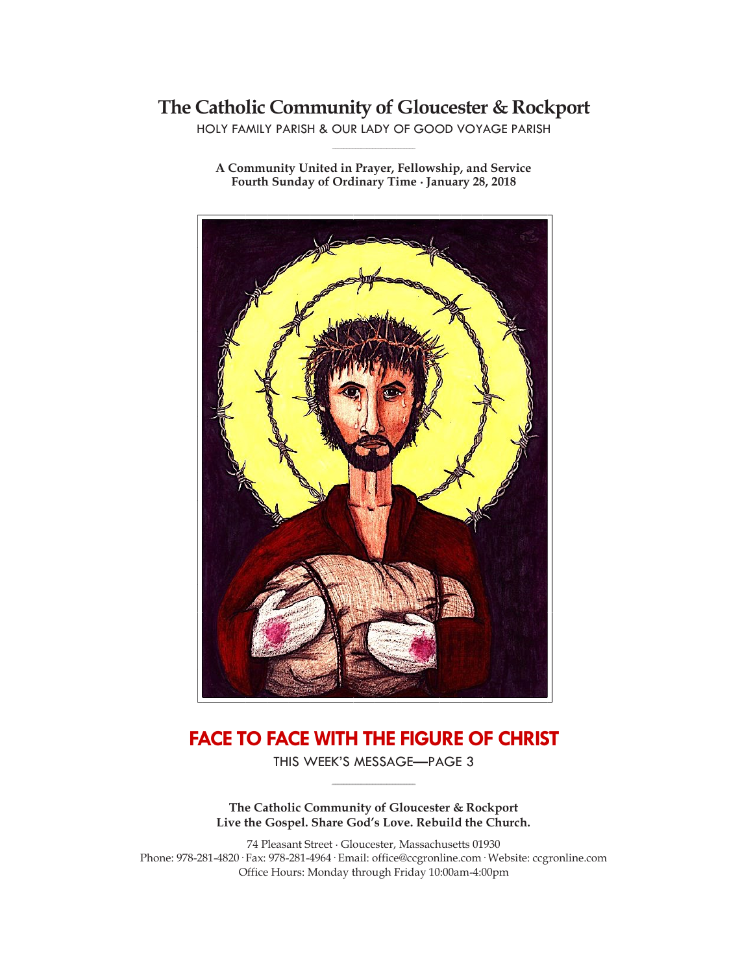# **The Catholic Community of Gloucester & Rockport**

HOLY FAMILY PARISH & OUR LADY OF GOOD VOYAGE PARISH **\_\_\_\_\_\_\_\_\_\_\_\_\_\_\_\_\_\_\_\_\_\_\_\_\_\_\_\_\_**

**A Community United in Prayer, Fellowship, and Service Fourth Sunday of Ordinary Time ∙ January 28, 2018**



# **FACE TO FACE WITH THE FIGURE OF CHRIST**

THIS WEEK'S MESSAGE—PAGE 3 **\_\_\_\_\_\_\_\_\_\_\_\_\_\_\_\_\_\_\_\_\_\_\_\_\_\_\_\_\_**

**The Catholic Community of Gloucester & Rockport Live the Gospel. Share God's Love. Rebuild the Church.**

74 Pleasant Street ∙ Gloucester, Massachusetts 01930 Phone: 978-281-4820· Fax: 978-281-4964· Email: office@ccgronline.com· Website: ccgronline.com Office Hours: Monday through Friday 10:00am-4:00pm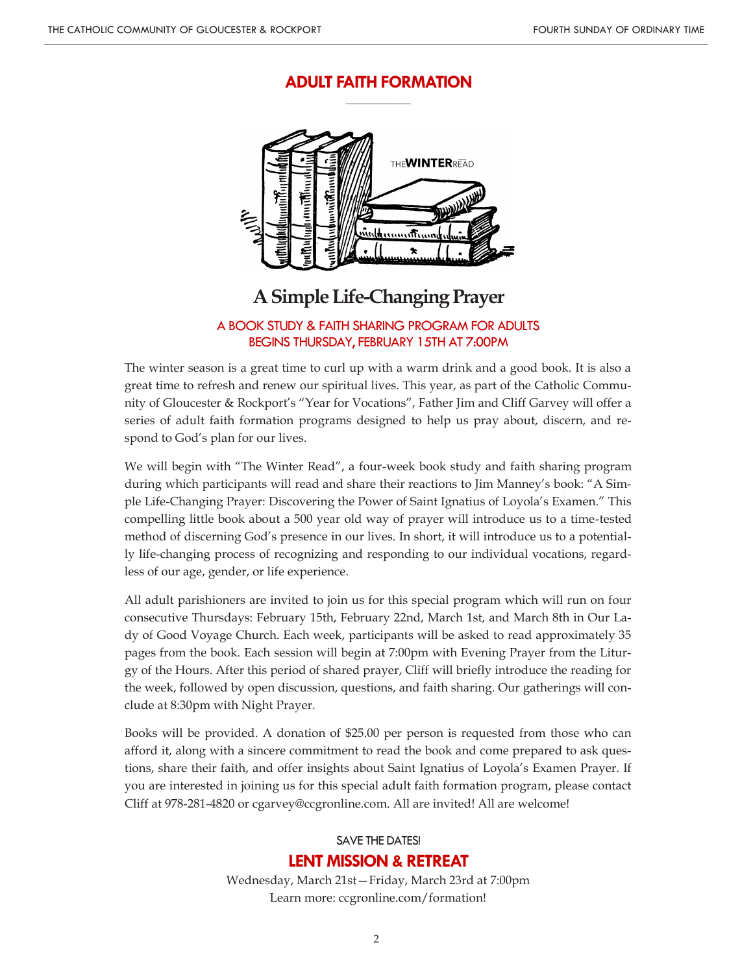## **ADULT FAITH FORMATION \_\_\_\_\_\_\_\_\_\_\_\_\_\_\_\_\_\_\_\_\_**



# **A Simple Life-Changing Prayer**

### A BOOK STUDY & FAITH SHARING PROGRAM FOR ADULTS BEGINS THURSDAY, FEBRUARY 15TH AT 7:00PM

The winter season is a great time to curl up with a warm drink and a good book. It is also a great time to refresh and renew our spiritual lives. This year, as part of the Catholic Community of Gloucester & Rockport's "Year for Vocations", Father Jim and Cliff Garvey will offer a series of adult faith formation programs designed to help us pray about, discern, and respond to God's plan for our lives.

We will begin with "The Winter Read", a four-week book study and faith sharing program during which participants will read and share their reactions to Jim Manney's book: "A Simple Life-Changing Prayer: Discovering the Power of Saint Ignatius of Loyola's Examen." This compelling little book about a 500 year old way of prayer will introduce us to a time-tested method of discerning God's presence in our lives. In short, it will introduce us to a potentially life-changing process of recognizing and responding to our individual vocations, regardless of our age, gender, or life experience.

All adult parishioners are invited to join us for this special program which will run on four consecutive Thursdays: February 15th, February 22nd, March 1st, and March 8th in Our Lady of Good Voyage Church. Each week, participants will be asked to read approximately 35 pages from the book. Each session will begin at 7:00pm with Evening Prayer from the Liturgy of the Hours. After this period of shared prayer, Cliff will briefly introduce the reading for the week, followed by open discussion, questions, and faith sharing. Our gatherings will conclude at 8:30pm with Night Prayer.

Books will be provided. A donation of \$25.00 per person is requested from those who can afford it, along with a sincere commitment to read the book and come prepared to ask questions, share their faith, and offer insights about Saint Ignatius of Loyola's Examen Prayer. If you are interested in joining us for this special adult faith formation program, please contact Cliff at 978-281-4820 or cgarvey@ccgronline.com. All are invited! All are welcome!

# SAVE THE DATES! **LENT MISSION & RETREAT**

Wednesday, March 21st—Friday, March 23rd at 7:00pm Learn more: ccgronline.com/formation!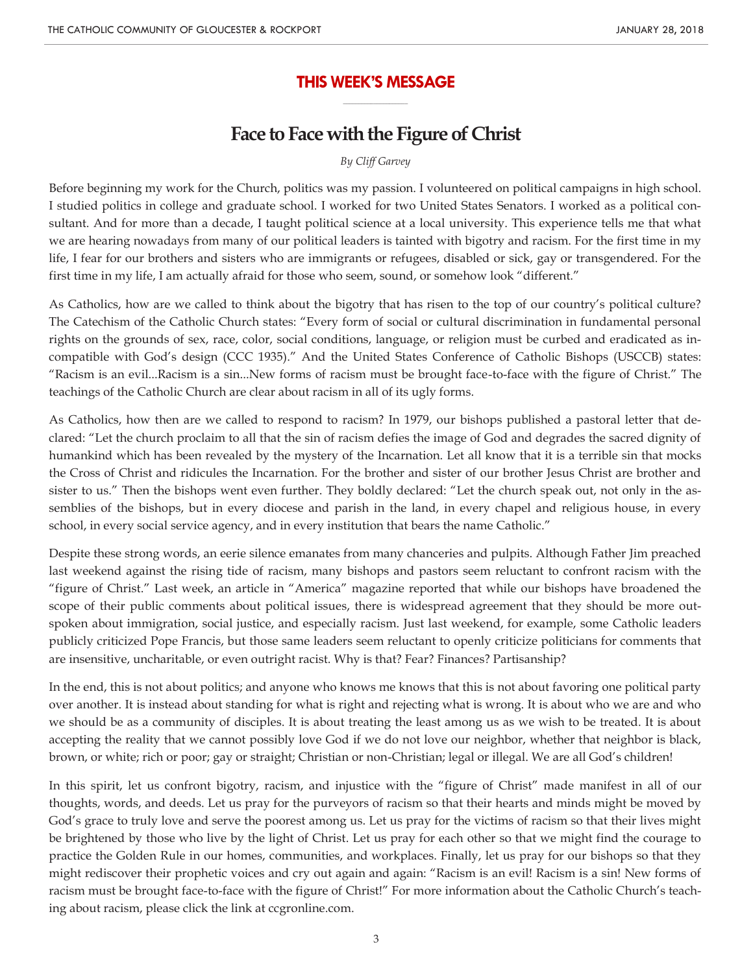## **THIS WEEK'S MESSAGE \_\_\_\_\_\_\_\_\_\_\_\_\_\_\_\_\_\_\_\_\_**

# **Face to Face with the Figure of Christ**

*By Cliff Garvey*

Before beginning my work for the Church, politics was my passion. I volunteered on political campaigns in high school. I studied politics in college and graduate school. I worked for two United States Senators. I worked as a political consultant. And for more than a decade, I taught political science at a local university. This experience tells me that what we are hearing nowadays from many of our political leaders is tainted with bigotry and racism. For the first time in my life, I fear for our brothers and sisters who are immigrants or refugees, disabled or sick, gay or transgendered. For the first time in my life, I am actually afraid for those who seem, sound, or somehow look "different."

As Catholics, how are we called to think about the bigotry that has risen to the top of our country's political culture? The Catechism of the Catholic Church states: "Every form of social or cultural discrimination in fundamental personal rights on the grounds of sex, race, color, social conditions, language, or religion must be curbed and eradicated as incompatible with God's design (CCC 1935)." And the United States Conference of Catholic Bishops (USCCB) states: "Racism is an evil...Racism is a sin...New forms of racism must be brought face-to-face with the figure of Christ." The teachings of the Catholic Church are clear about racism in all of its ugly forms.

As Catholics, how then are we called to respond to racism? In 1979, our bishops published a pastoral letter that declared: "Let the church proclaim to all that the sin of racism defies the image of God and degrades the sacred dignity of humankind which has been revealed by the mystery of the Incarnation. Let all know that it is a terrible sin that mocks the Cross of Christ and ridicules the Incarnation. For the brother and sister of our brother Jesus Christ are brother and sister to us." Then the bishops went even further. They boldly declared: "Let the church speak out, not only in the assemblies of the bishops, but in every diocese and parish in the land, in every chapel and religious house, in every school, in every social service agency, and in every institution that bears the name Catholic."

Despite these strong words, an eerie silence emanates from many chanceries and pulpits. Although Father Jim preached last weekend against the rising tide of racism, many bishops and pastors seem reluctant to confront racism with the "figure of Christ." Last week, an article in "America" magazine reported that while our bishops have broadened the scope of their public comments about political issues, there is widespread agreement that they should be more outspoken about immigration, social justice, and especially racism. Just last weekend, for example, some Catholic leaders publicly criticized Pope Francis, but those same leaders seem reluctant to openly criticize politicians for comments that are insensitive, uncharitable, or even outright racist. Why is that? Fear? Finances? Partisanship?

In the end, this is not about politics; and anyone who knows me knows that this is not about favoring one political party over another. It is instead about standing for what is right and rejecting what is wrong. It is about who we are and who we should be as a community of disciples. It is about treating the least among us as we wish to be treated. It is about accepting the reality that we cannot possibly love God if we do not love our neighbor, whether that neighbor is black, brown, or white; rich or poor; gay or straight; Christian or non-Christian; legal or illegal. We are all God's children!

In this spirit, let us confront bigotry, racism, and injustice with the "figure of Christ" made manifest in all of our thoughts, words, and deeds. Let us pray for the purveyors of racism so that their hearts and minds might be moved by God's grace to truly love and serve the poorest among us. Let us pray for the victims of racism so that their lives might be brightened by those who live by the light of Christ. Let us pray for each other so that we might find the courage to practice the Golden Rule in our homes, communities, and workplaces. Finally, let us pray for our bishops so that they might rediscover their prophetic voices and cry out again and again: "Racism is an evil! Racism is a sin! New forms of racism must be brought face-to-face with the figure of Christ!" For more information about the Catholic Church's teaching about racism, please click the link at ccgronline.com.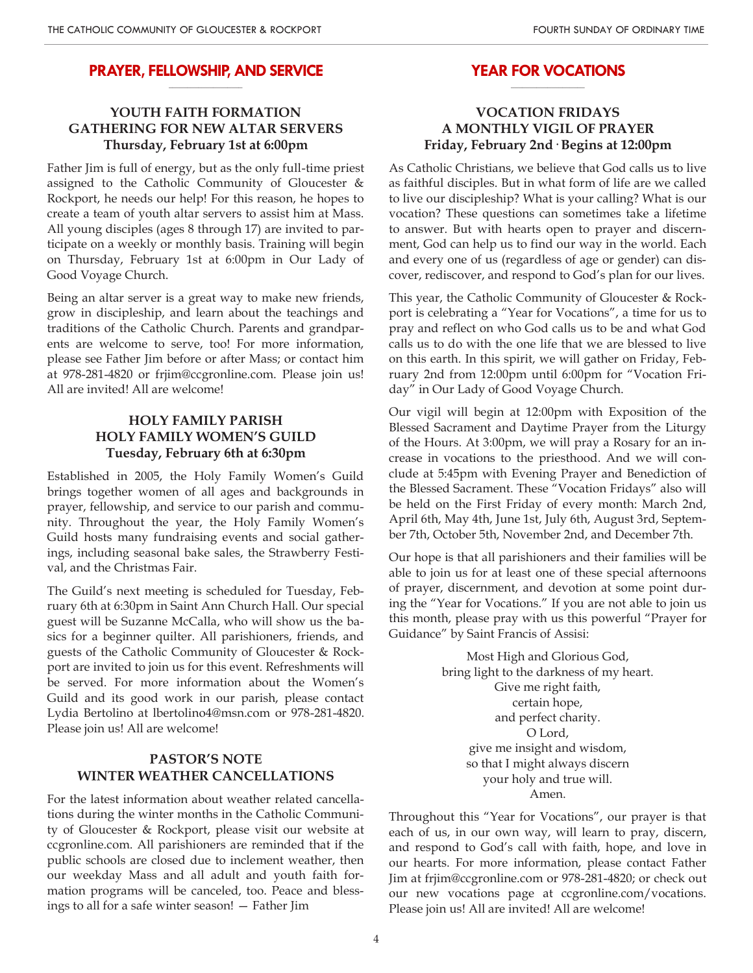#### **PRAYER, FELLOWSHIP, AND SERVICE \_\_\_\_\_\_\_\_\_\_\_\_\_\_\_\_\_\_\_\_**

## **YOUTH FAITH FORMATION GATHERING FOR NEW ALTAR SERVERS Thursday, February 1st at 6:00pm**

Father Jim is full of energy, but as the only full-time priest assigned to the Catholic Community of Gloucester & Rockport, he needs our help! For this reason, he hopes to create a team of youth altar servers to assist him at Mass. All young disciples (ages 8 through 17) are invited to participate on a weekly or monthly basis. Training will begin on Thursday, February 1st at 6:00pm in Our Lady of Good Voyage Church.

Being an altar server is a great way to make new friends, grow in discipleship, and learn about the teachings and traditions of the Catholic Church. Parents and grandparents are welcome to serve, too! For more information, please see Father Jim before or after Mass; or contact him at 978-281-4820 or frjim@ccgronline.com. Please join us! All are invited! All are welcome!

## **HOLY FAMILY PARISH HOLY FAMILY WOMEN'S GUILD Tuesday, February 6th at 6:30pm**

Established in 2005, the Holy Family Women's Guild brings together women of all ages and backgrounds in prayer, fellowship, and service to our parish and community. Throughout the year, the Holy Family Women's Guild hosts many fundraising events and social gatherings, including seasonal bake sales, the Strawberry Festival, and the Christmas Fair.

The Guild's next meeting is scheduled for Tuesday, February 6th at 6:30pm in Saint Ann Church Hall. Our special guest will be Suzanne McCalla, who will show us the basics for a beginner quilter. All parishioners, friends, and guests of the Catholic Community of Gloucester & Rockport are invited to join us for this event. Refreshments will be served. For more information about the Women's Guild and its good work in our parish, please contact Lydia Bertolino at lbertolino4@msn.com or 978-281-4820. Please join us! All are welcome!

### **PASTOR'S NOTE WINTER WEATHER CANCELLATIONS**

For the latest information about weather related cancellations during the winter months in the Catholic Community of Gloucester & Rockport, please visit our website at ccgronline.com. All parishioners are reminded that if the public schools are closed due to inclement weather, then our weekday Mass and all adult and youth faith formation programs will be canceled, too. Peace and blessings to all for a safe winter season! — Father Jim

#### **YEAR FOR VOCATIONS \_\_\_\_\_\_\_\_\_\_\_\_\_\_\_\_\_\_\_\_**

### **VOCATION FRIDAYS A MONTHLY VIGIL OF PRAYER Friday, February 2nd· Begins at 12:00pm**

As Catholic Christians, we believe that God calls us to live as faithful disciples. But in what form of life are we called to live our discipleship? What is your calling? What is our vocation? These questions can sometimes take a lifetime to answer. But with hearts open to prayer and discernment, God can help us to find our way in the world. Each and every one of us (regardless of age or gender) can discover, rediscover, and respond to God's plan for our lives.

This year, the Catholic Community of Gloucester & Rockport is celebrating a "Year for Vocations", a time for us to pray and reflect on who God calls us to be and what God calls us to do with the one life that we are blessed to live on this earth. In this spirit, we will gather on Friday, February 2nd from 12:00pm until 6:00pm for "Vocation Friday" in Our Lady of Good Voyage Church.

Our vigil will begin at 12:00pm with Exposition of the Blessed Sacrament and Daytime Prayer from the Liturgy of the Hours. At 3:00pm, we will pray a Rosary for an increase in vocations to the priesthood. And we will conclude at 5:45pm with Evening Prayer and Benediction of the Blessed Sacrament. These "Vocation Fridays" also will be held on the First Friday of every month: March 2nd, April 6th, May 4th, June 1st, July 6th, August 3rd, September 7th, October 5th, November 2nd, and December 7th.

Our hope is that all parishioners and their families will be able to join us for at least one of these special afternoons of prayer, discernment, and devotion at some point during the "Year for Vocations." If you are not able to join us this month, please pray with us this powerful "Prayer for Guidance" by Saint Francis of Assisi:

> Most High and Glorious God, bring light to the darkness of my heart. Give me right faith, certain hope, and perfect charity. O Lord, give me insight and wisdom, so that I might always discern your holy and true will. Amen.

Throughout this "Year for Vocations", our prayer is that each of us, in our own way, will learn to pray, discern, and respond to God's call with faith, hope, and love in our hearts. For more information, please contact Father Jim at frjim@ccgronline.com or 978-281-4820; or check out our new vocations page at ccgronline.com/vocations. Please join us! All are invited! All are welcome!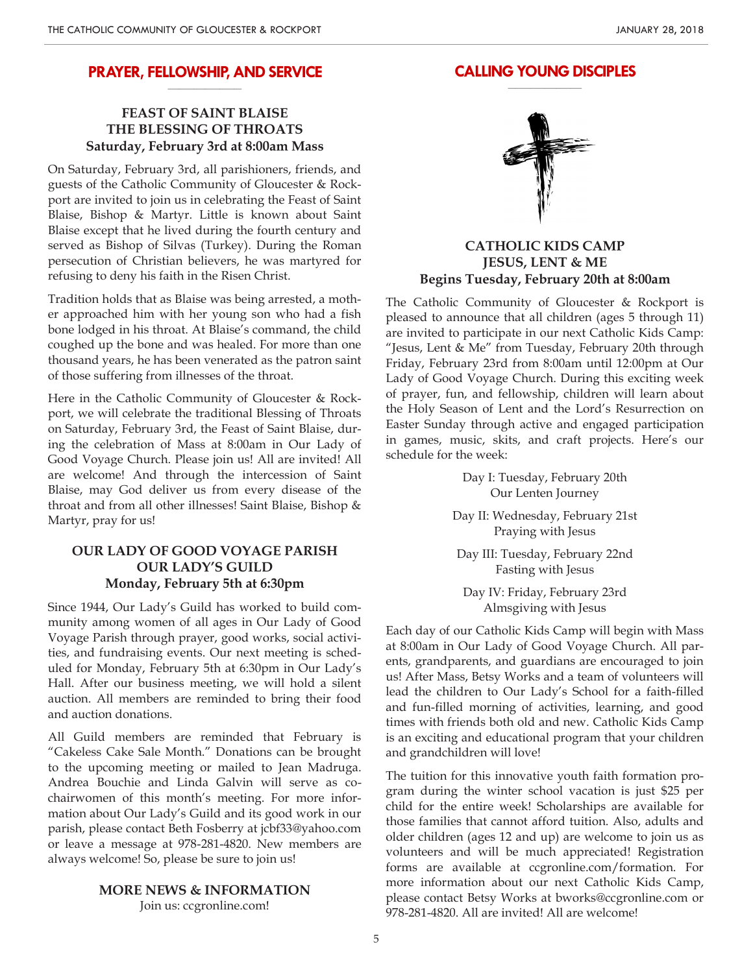#### **PRAYER, FELLOWSHIP, AND SERVICE \_\_\_\_\_\_\_\_\_\_\_\_\_\_\_\_\_\_\_\_**

## **FEAST OF SAINT BLAISE THE BLESSING OF THROATS Saturday, February 3rd at 8:00am Mass**

On Saturday, February 3rd, all parishioners, friends, and guests of the Catholic Community of Gloucester & Rockport are invited to join us in celebrating the Feast of Saint Blaise, Bishop & Martyr. Little is known about Saint Blaise except that he lived during the fourth century and served as Bishop of Silvas (Turkey). During the Roman persecution of Christian believers, he was martyred for refusing to deny his faith in the Risen Christ.

Tradition holds that as Blaise was being arrested, a mother approached him with her young son who had a fish bone lodged in his throat. At Blaise's command, the child coughed up the bone and was healed. For more than one thousand years, he has been venerated as the patron saint of those suffering from illnesses of the throat.

Here in the Catholic Community of Gloucester & Rockport, we will celebrate the traditional Blessing of Throats on Saturday, February 3rd, the Feast of Saint Blaise, during the celebration of Mass at 8:00am in Our Lady of Good Voyage Church. Please join us! All are invited! All are welcome! And through the intercession of Saint Blaise, may God deliver us from every disease of the throat and from all other illnesses! Saint Blaise, Bishop & Martyr, pray for us!

## **OUR LADY OF GOOD VOYAGE PARISH OUR LADY'S GUILD Monday, February 5th at 6:30pm**

Since 1944, Our Lady's Guild has worked to build community among women of all ages in Our Lady of Good Voyage Parish through prayer, good works, social activities, and fundraising events. Our next meeting is scheduled for Monday, February 5th at 6:30pm in Our Lady's Hall. After our business meeting, we will hold a silent auction. All members are reminded to bring their food and auction donations.

All Guild members are reminded that February is "Cakeless Cake Sale Month." Donations can be brought to the upcoming meeting or mailed to Jean Madruga. Andrea Bouchie and Linda Galvin will serve as cochairwomen of this month's meeting. For more information about Our Lady's Guild and its good work in our parish, please contact Beth Fosberry at jcbf33@yahoo.com or leave a message at 978-281-4820. New members are always welcome! So, please be sure to join us!

#### **MORE NEWS & INFORMATION**

Join us: ccgronline.com!



**CALLING YOUNG DISCIPLES \_\_\_\_\_\_\_\_\_\_\_\_\_\_\_\_\_\_\_\_**

## **CATHOLIC KIDS CAMP JESUS, LENT & ME Begins Tuesday, February 20th at 8:00am**

The Catholic Community of Gloucester & Rockport is pleased to announce that all children (ages 5 through 11) are invited to participate in our next Catholic Kids Camp: "Jesus, Lent & Me" from Tuesday, February 20th through Friday, February 23rd from 8:00am until 12:00pm at Our Lady of Good Voyage Church. During this exciting week of prayer, fun, and fellowship, children will learn about the Holy Season of Lent and the Lord's Resurrection on Easter Sunday through active and engaged participation in games, music, skits, and craft projects. Here's our schedule for the week:

> Day I: Tuesday, February 20th Our Lenten Journey

Day II: Wednesday, February 21st Praying with Jesus

Day III: Tuesday, February 22nd Fasting with Jesus

Day IV: Friday, February 23rd Almsgiving with Jesus

Each day of our Catholic Kids Camp will begin with Mass at 8:00am in Our Lady of Good Voyage Church. All parents, grandparents, and guardians are encouraged to join us! After Mass, Betsy Works and a team of volunteers will lead the children to Our Lady's School for a faith-filled and fun-filled morning of activities, learning, and good times with friends both old and new. Catholic Kids Camp is an exciting and educational program that your children and grandchildren will love!

The tuition for this innovative youth faith formation program during the winter school vacation is just \$25 per child for the entire week! Scholarships are available for those families that cannot afford tuition. Also, adults and older children (ages 12 and up) are welcome to join us as volunteers and will be much appreciated! Registration forms are available at ccgronline.com/formation. For more information about our next Catholic Kids Camp, please contact Betsy Works at bworks@ccgronline.com or 978-281-4820. All are invited! All are welcome!